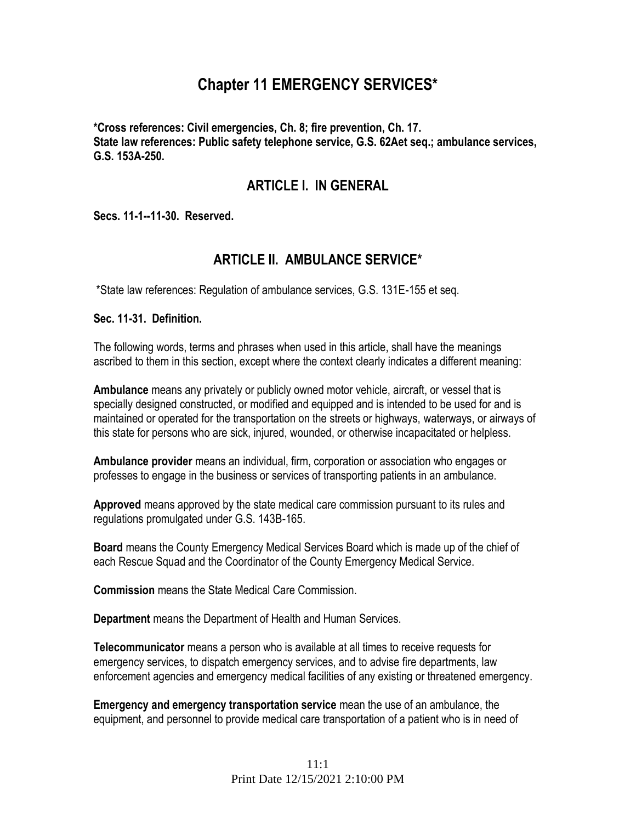# **Chapter 11 EMERGENCY SERVICES\***

**\*Cross references: Civil emergencies, Ch. 8; fire prevention, Ch. 17. State law references: Public safety telephone service, G.S. 62Aet seq.; ambulance services, G.S. 153A-250.**

# **ARTICLE I. IN GENERAL**

**Secs. 11-1--11-30. Reserved.** 

# **ARTICLE II. AMBULANCE SERVICE\***

\*State law references: Regulation of ambulance services, G.S. 131E-155 et seq.

#### **Sec. 11-31. Definition.**

The following words, terms and phrases when used in this article, shall have the meanings ascribed to them in this section, except where the context clearly indicates a different meaning:

**Ambulance** means any privately or publicly owned motor vehicle, aircraft, or vessel that is specially designed constructed, or modified and equipped and is intended to be used for and is maintained or operated for the transportation on the streets or highways, waterways, or airways of this state for persons who are sick, injured, wounded, or otherwise incapacitated or helpless.

**Ambulance provider** means an individual, firm, corporation or association who engages or professes to engage in the business or services of transporting patients in an ambulance.

**Approved** means approved by the state medical care commission pursuant to its rules and regulations promulgated under G.S. 143B-165.

**Board** means the County Emergency Medical Services Board which is made up of the chief of each Rescue Squad and the Coordinator of the County Emergency Medical Service.

**Commission** means the State Medical Care Commission.

**Department** means the Department of Health and Human Services.

**Telecommunicator** means a person who is available at all times to receive requests for emergency services, to dispatch emergency services, and to advise fire departments, law enforcement agencies and emergency medical facilities of any existing or threatened emergency.

**Emergency and emergency transportation service** mean the use of an ambulance, the equipment, and personnel to provide medical care transportation of a patient who is in need of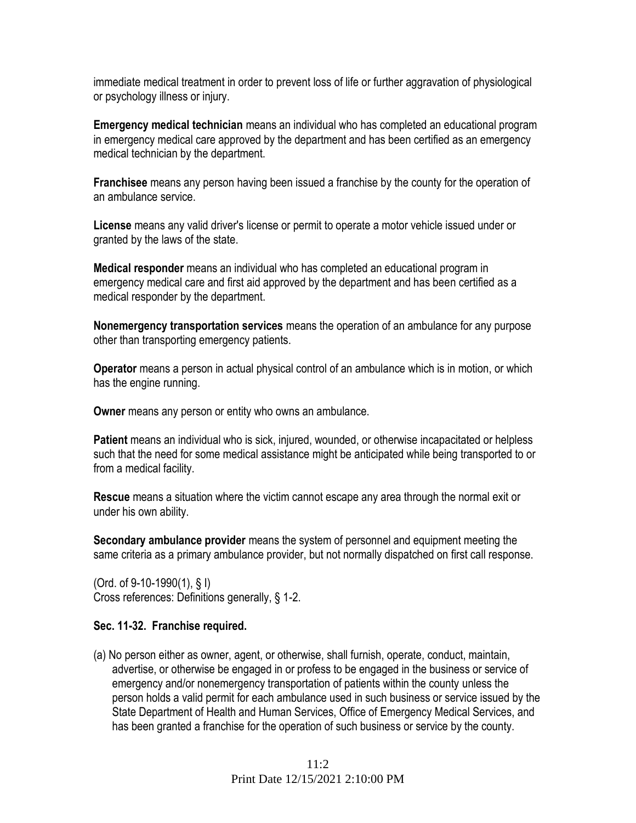immediate medical treatment in order to prevent loss of life or further aggravation of physiological or psychology illness or injury.

**Emergency medical technician** means an individual who has completed an educational program in emergency medical care approved by the department and has been certified as an emergency medical technician by the department.

**Franchisee** means any person having been issued a franchise by the county for the operation of an ambulance service.

**License** means any valid driver's license or permit to operate a motor vehicle issued under or granted by the laws of the state.

**Medical responder** means an individual who has completed an educational program in emergency medical care and first aid approved by the department and has been certified as a medical responder by the department.

**Nonemergency transportation services** means the operation of an ambulance for any purpose other than transporting emergency patients.

**Operator** means a person in actual physical control of an ambulance which is in motion, or which has the engine running.

**Owner** means any person or entity who owns an ambulance.

**Patient** means an individual who is sick, injured, wounded, or otherwise incapacitated or helpless such that the need for some medical assistance might be anticipated while being transported to or from a medical facility.

**Rescue** means a situation where the victim cannot escape any area through the normal exit or under his own ability.

**Secondary ambulance provider** means the system of personnel and equipment meeting the same criteria as a primary ambulance provider, but not normally dispatched on first call response.

(Ord. of 9-10-1990(1), § I) Cross references: Definitions generally, § 1-2.

### **Sec. 11-32. Franchise required.**

(a) No person either as owner, agent, or otherwise, shall furnish, operate, conduct, maintain, advertise, or otherwise be engaged in or profess to be engaged in the business or service of emergency and/or nonemergency transportation of patients within the county unless the person holds a valid permit for each ambulance used in such business or service issued by the State Department of Health and Human Services, Office of Emergency Medical Services, and has been granted a franchise for the operation of such business or service by the county.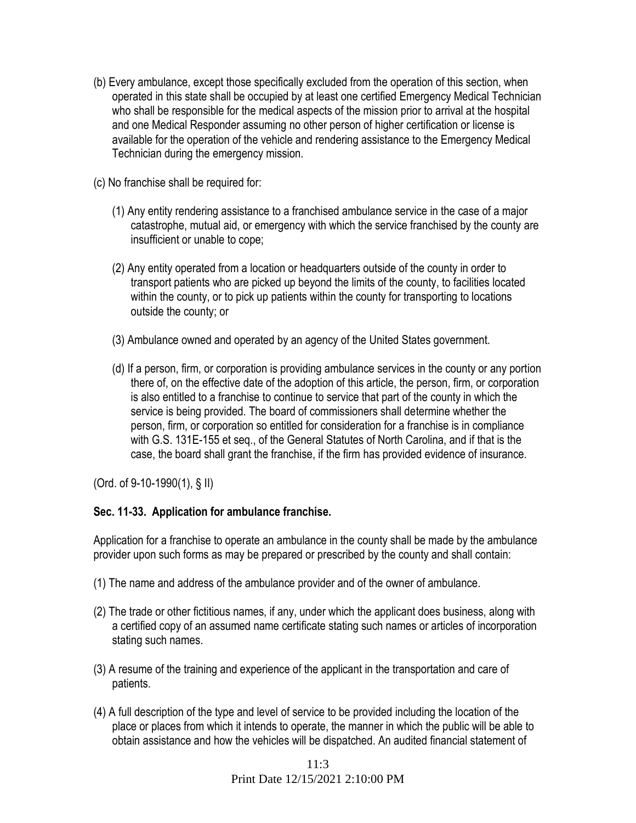- (b) Every ambulance, except those specifically excluded from the operation of this section, when operated in this state shall be occupied by at least one certified Emergency Medical Technician who shall be responsible for the medical aspects of the mission prior to arrival at the hospital and one Medical Responder assuming no other person of higher certification or license is available for the operation of the vehicle and rendering assistance to the Emergency Medical Technician during the emergency mission.
- (c) No franchise shall be required for:
	- (1) Any entity rendering assistance to a franchised ambulance service in the case of a major catastrophe, mutual aid, or emergency with which the service franchised by the county are insufficient or unable to cope;
	- (2) Any entity operated from a location or headquarters outside of the county in order to transport patients who are picked up beyond the limits of the county, to facilities located within the county, or to pick up patients within the county for transporting to locations outside the county; or
	- (3) Ambulance owned and operated by an agency of the United States government.
	- (d) If a person, firm, or corporation is providing ambulance services in the county or any portion there of, on the effective date of the adoption of this article, the person, firm, or corporation is also entitled to a franchise to continue to service that part of the county in which the service is being provided. The board of commissioners shall determine whether the person, firm, or corporation so entitled for consideration for a franchise is in compliance with G.S. 131E-155 et seq., of the General Statutes of North Carolina, and if that is the case, the board shall grant the franchise, if the firm has provided evidence of insurance.

(Ord. of 9-10-1990(1), § II)

# **Sec. 11-33. Application for ambulance franchise.**

Application for a franchise to operate an ambulance in the county shall be made by the ambulance provider upon such forms as may be prepared or prescribed by the county and shall contain:

- (1) The name and address of the ambulance provider and of the owner of ambulance.
- (2) The trade or other fictitious names, if any, under which the applicant does business, along with a certified copy of an assumed name certificate stating such names or articles of incorporation stating such names.
- (3) A resume of the training and experience of the applicant in the transportation and care of patients.
- (4) A full description of the type and level of service to be provided including the location of the place or places from which it intends to operate, the manner in which the public will be able to obtain assistance and how the vehicles will be dispatched. An audited financial statement of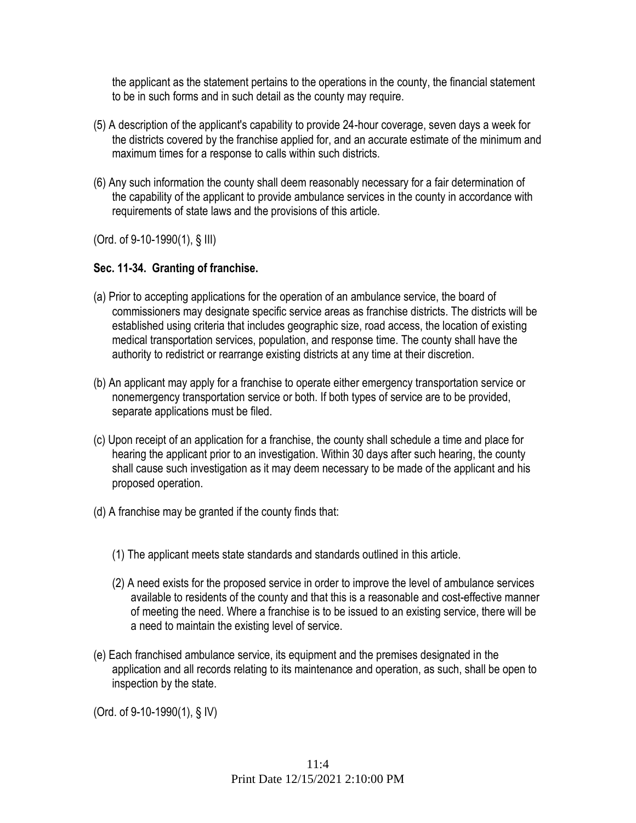the applicant as the statement pertains to the operations in the county, the financial statement to be in such forms and in such detail as the county may require.

- (5) A description of the applicant's capability to provide 24-hour coverage, seven days a week for the districts covered by the franchise applied for, and an accurate estimate of the minimum and maximum times for a response to calls within such districts.
- (6) Any such information the county shall deem reasonably necessary for a fair determination of the capability of the applicant to provide ambulance services in the county in accordance with requirements of state laws and the provisions of this article.

(Ord. of 9-10-1990(1), § III)

## **Sec. 11-34. Granting of franchise.**

- (a) Prior to accepting applications for the operation of an ambulance service, the board of commissioners may designate specific service areas as franchise districts. The districts will be established using criteria that includes geographic size, road access, the location of existing medical transportation services, population, and response time. The county shall have the authority to redistrict or rearrange existing districts at any time at their discretion.
- (b) An applicant may apply for a franchise to operate either emergency transportation service or nonemergency transportation service or both. If both types of service are to be provided, separate applications must be filed.
- (c) Upon receipt of an application for a franchise, the county shall schedule a time and place for hearing the applicant prior to an investigation. Within 30 days after such hearing, the county shall cause such investigation as it may deem necessary to be made of the applicant and his proposed operation.
- (d) A franchise may be granted if the county finds that:
	- (1) The applicant meets state standards and standards outlined in this article.
	- (2) A need exists for the proposed service in order to improve the level of ambulance services available to residents of the county and that this is a reasonable and cost-effective manner of meeting the need. Where a franchise is to be issued to an existing service, there will be a need to maintain the existing level of service.
- (e) Each franchised ambulance service, its equipment and the premises designated in the application and all records relating to its maintenance and operation, as such, shall be open to inspection by the state.

(Ord. of 9-10-1990(1), § IV)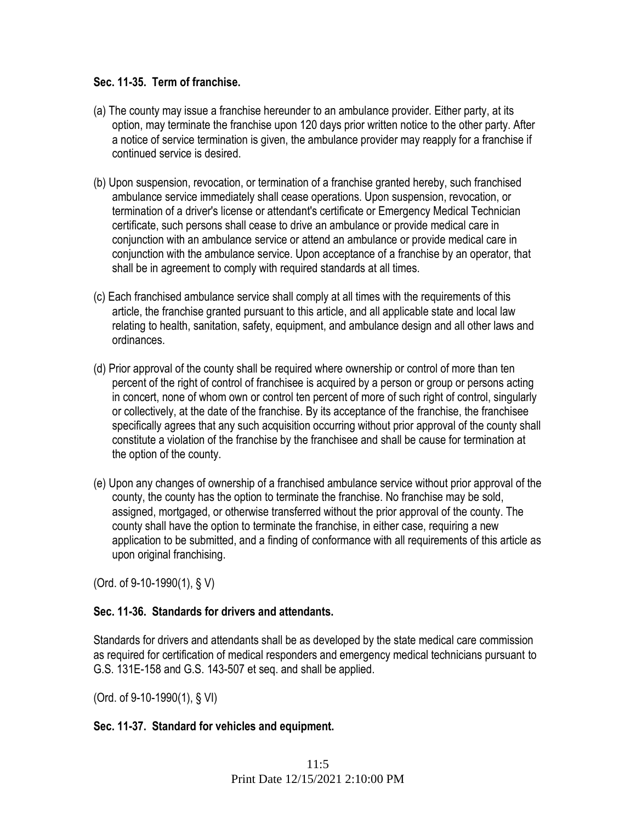### **Sec. 11-35. Term of franchise.**

- (a) The county may issue a franchise hereunder to an ambulance provider. Either party, at its option, may terminate the franchise upon 120 days prior written notice to the other party. After a notice of service termination is given, the ambulance provider may reapply for a franchise if continued service is desired.
- (b) Upon suspension, revocation, or termination of a franchise granted hereby, such franchised ambulance service immediately shall cease operations. Upon suspension, revocation, or termination of a driver's license or attendant's certificate or Emergency Medical Technician certificate, such persons shall cease to drive an ambulance or provide medical care in conjunction with an ambulance service or attend an ambulance or provide medical care in conjunction with the ambulance service. Upon acceptance of a franchise by an operator, that shall be in agreement to comply with required standards at all times.
- (c) Each franchised ambulance service shall comply at all times with the requirements of this article, the franchise granted pursuant to this article, and all applicable state and local law relating to health, sanitation, safety, equipment, and ambulance design and all other laws and ordinances.
- (d) Prior approval of the county shall be required where ownership or control of more than ten percent of the right of control of franchisee is acquired by a person or group or persons acting in concert, none of whom own or control ten percent of more of such right of control, singularly or collectively, at the date of the franchise. By its acceptance of the franchise, the franchisee specifically agrees that any such acquisition occurring without prior approval of the county shall constitute a violation of the franchise by the franchisee and shall be cause for termination at the option of the county.
- (e) Upon any changes of ownership of a franchised ambulance service without prior approval of the county, the county has the option to terminate the franchise. No franchise may be sold, assigned, mortgaged, or otherwise transferred without the prior approval of the county. The county shall have the option to terminate the franchise, in either case, requiring a new application to be submitted, and a finding of conformance with all requirements of this article as upon original franchising.

(Ord. of 9-10-1990(1), § V)

### **Sec. 11-36. Standards for drivers and attendants.**

Standards for drivers and attendants shall be as developed by the state medical care commission as required for certification of medical responders and emergency medical technicians pursuant to G.S. 131E-158 and G.S. 143-507 et seq. and shall be applied.

(Ord. of 9-10-1990(1), § VI)

#### **Sec. 11-37. Standard for vehicles and equipment.**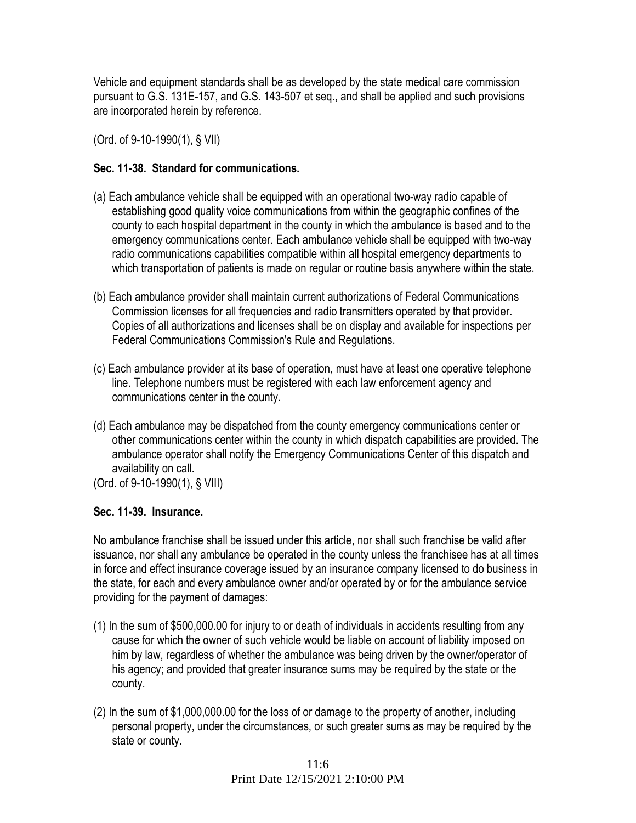Vehicle and equipment standards shall be as developed by the state medical care commission pursuant to G.S. 131E-157, and G.S. 143-507 et seq., and shall be applied and such provisions are incorporated herein by reference.

(Ord. of 9-10-1990(1), § VII)

## **Sec. 11-38. Standard for communications.**

- (a) Each ambulance vehicle shall be equipped with an operational two-way radio capable of establishing good quality voice communications from within the geographic confines of the county to each hospital department in the county in which the ambulance is based and to the emergency communications center. Each ambulance vehicle shall be equipped with two-way radio communications capabilities compatible within all hospital emergency departments to which transportation of patients is made on regular or routine basis anywhere within the state.
- (b) Each ambulance provider shall maintain current authorizations of Federal Communications Commission licenses for all frequencies and radio transmitters operated by that provider. Copies of all authorizations and licenses shall be on display and available for inspections per Federal Communications Commission's Rule and Regulations.
- (c) Each ambulance provider at its base of operation, must have at least one operative telephone line. Telephone numbers must be registered with each law enforcement agency and communications center in the county.
- (d) Each ambulance may be dispatched from the county emergency communications center or other communications center within the county in which dispatch capabilities are provided. The ambulance operator shall notify the Emergency Communications Center of this dispatch and availability on call.
- (Ord. of 9-10-1990(1), § VIII)

# **Sec. 11-39. Insurance.**

No ambulance franchise shall be issued under this article, nor shall such franchise be valid after issuance, nor shall any ambulance be operated in the county unless the franchisee has at all times in force and effect insurance coverage issued by an insurance company licensed to do business in the state, for each and every ambulance owner and/or operated by or for the ambulance service providing for the payment of damages:

- (1) In the sum of \$500,000.00 for injury to or death of individuals in accidents resulting from any cause for which the owner of such vehicle would be liable on account of liability imposed on him by law, regardless of whether the ambulance was being driven by the owner/operator of his agency; and provided that greater insurance sums may be required by the state or the county.
- (2) In the sum of \$1,000,000.00 for the loss of or damage to the property of another, including personal property, under the circumstances, or such greater sums as may be required by the state or county.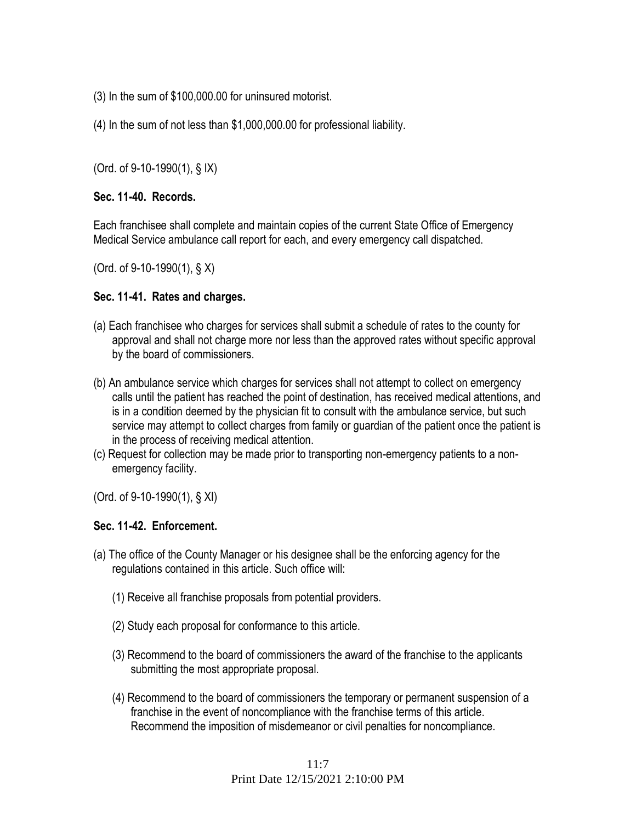- (3) In the sum of \$100,000.00 for uninsured motorist.
- (4) In the sum of not less than \$1,000,000.00 for professional liability.

(Ord. of 9-10-1990(1), § IX)

#### **Sec. 11-40. Records.**

Each franchisee shall complete and maintain copies of the current State Office of Emergency Medical Service ambulance call report for each, and every emergency call dispatched.

(Ord. of 9-10-1990(1), § X)

#### **Sec. 11-41. Rates and charges.**

- (a) Each franchisee who charges for services shall submit a schedule of rates to the county for approval and shall not charge more nor less than the approved rates without specific approval by the board of commissioners.
- (b) An ambulance service which charges for services shall not attempt to collect on emergency calls until the patient has reached the point of destination, has received medical attentions, and is in a condition deemed by the physician fit to consult with the ambulance service, but such service may attempt to collect charges from family or guardian of the patient once the patient is in the process of receiving medical attention.
- (c) Request for collection may be made prior to transporting non-emergency patients to a nonemergency facility.

(Ord. of 9-10-1990(1), § XI)

### **Sec. 11-42. Enforcement.**

- (a) The office of the County Manager or his designee shall be the enforcing agency for the regulations contained in this article. Such office will:
	- (1) Receive all franchise proposals from potential providers.
	- (2) Study each proposal for conformance to this article.
	- (3) Recommend to the board of commissioners the award of the franchise to the applicants submitting the most appropriate proposal.
	- (4) Recommend to the board of commissioners the temporary or permanent suspension of a franchise in the event of noncompliance with the franchise terms of this article. Recommend the imposition of misdemeanor or civil penalties for noncompliance.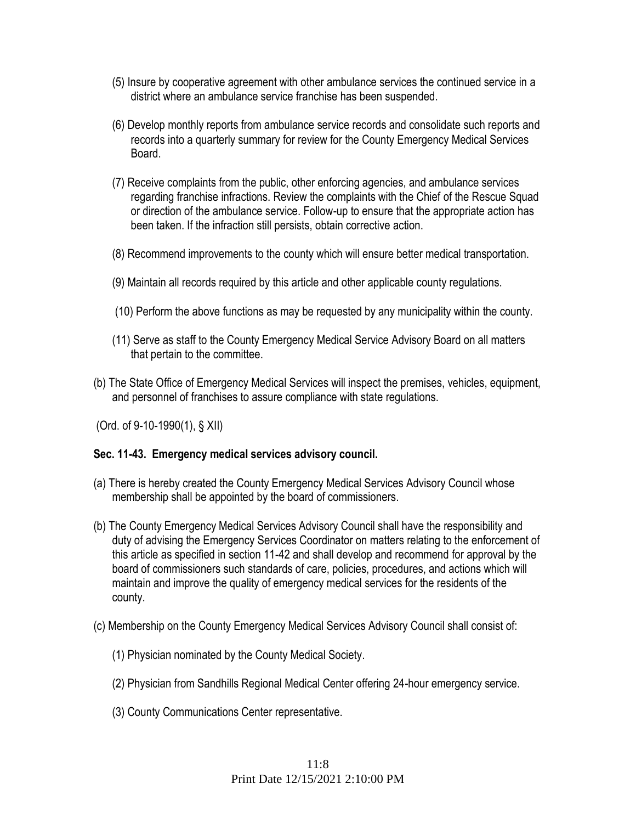- (5) Insure by cooperative agreement with other ambulance services the continued service in a district where an ambulance service franchise has been suspended.
- (6) Develop monthly reports from ambulance service records and consolidate such reports and records into a quarterly summary for review for the County Emergency Medical Services Board.
- (7) Receive complaints from the public, other enforcing agencies, and ambulance services regarding franchise infractions. Review the complaints with the Chief of the Rescue Squad or direction of the ambulance service. Follow-up to ensure that the appropriate action has been taken. If the infraction still persists, obtain corrective action.
- (8) Recommend improvements to the county which will ensure better medical transportation.
- (9) Maintain all records required by this article and other applicable county regulations.
- (10) Perform the above functions as may be requested by any municipality within the county.
- (11) Serve as staff to the County Emergency Medical Service Advisory Board on all matters that pertain to the committee.
- (b) The State Office of Emergency Medical Services will inspect the premises, vehicles, equipment, and personnel of franchises to assure compliance with state regulations.

(Ord. of 9-10-1990(1), § XII)

#### **Sec. 11-43. Emergency medical services advisory council.**

- (a) There is hereby created the County Emergency Medical Services Advisory Council whose membership shall be appointed by the board of commissioners.
- (b) The County Emergency Medical Services Advisory Council shall have the responsibility and duty of advising the Emergency Services Coordinator on matters relating to the enforcement of this article as specified in section 11-42 and shall develop and recommend for approval by the board of commissioners such standards of care, policies, procedures, and actions which will maintain and improve the quality of emergency medical services for the residents of the county.
- (c) Membership on the County Emergency Medical Services Advisory Council shall consist of:
	- (1) Physician nominated by the County Medical Society.
	- (2) Physician from Sandhills Regional Medical Center offering 24-hour emergency service.
	- (3) County Communications Center representative.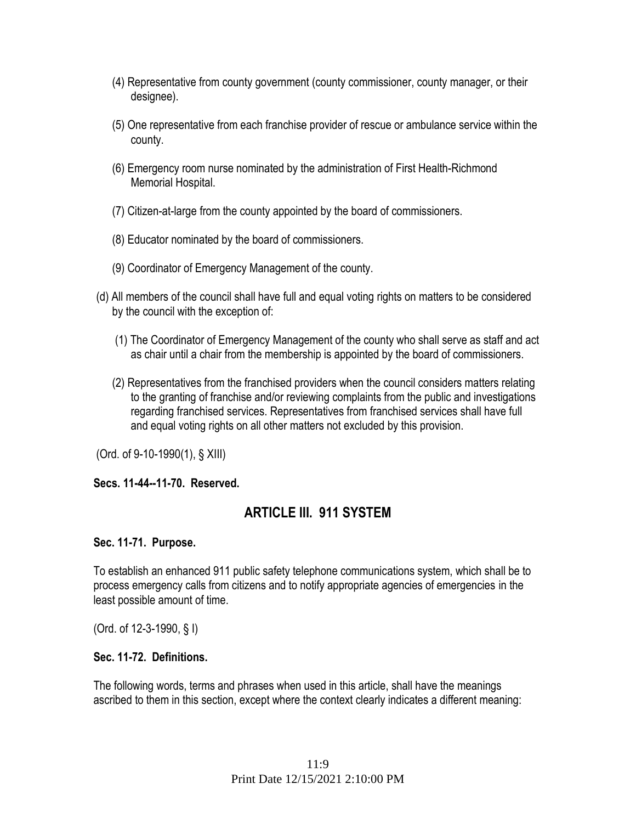- (4) Representative from county government (county commissioner, county manager, or their designee).
- (5) One representative from each franchise provider of rescue or ambulance service within the county.
- (6) Emergency room nurse nominated by the administration of First Health-Richmond Memorial Hospital.
- (7) Citizen-at-large from the county appointed by the board of commissioners.
- (8) Educator nominated by the board of commissioners.
- (9) Coordinator of Emergency Management of the county.
- (d) All members of the council shall have full and equal voting rights on matters to be considered by the council with the exception of:
	- (1) The Coordinator of Emergency Management of the county who shall serve as staff and act as chair until a chair from the membership is appointed by the board of commissioners.
	- (2) Representatives from the franchised providers when the council considers matters relating to the granting of franchise and/or reviewing complaints from the public and investigations regarding franchised services. Representatives from franchised services shall have full and equal voting rights on all other matters not excluded by this provision.

(Ord. of 9-10-1990(1), § XIII)

**Secs. 11-44--11-70. Reserved.** 

# **ARTICLE III. 911 SYSTEM**

### **Sec. 11-71. Purpose.**

To establish an enhanced 911 public safety telephone communications system, which shall be to process emergency calls from citizens and to notify appropriate agencies of emergencies in the least possible amount of time.

(Ord. of 12-3-1990, § I)

### **Sec. 11-72. Definitions.**

The following words, terms and phrases when used in this article, shall have the meanings ascribed to them in this section, except where the context clearly indicates a different meaning: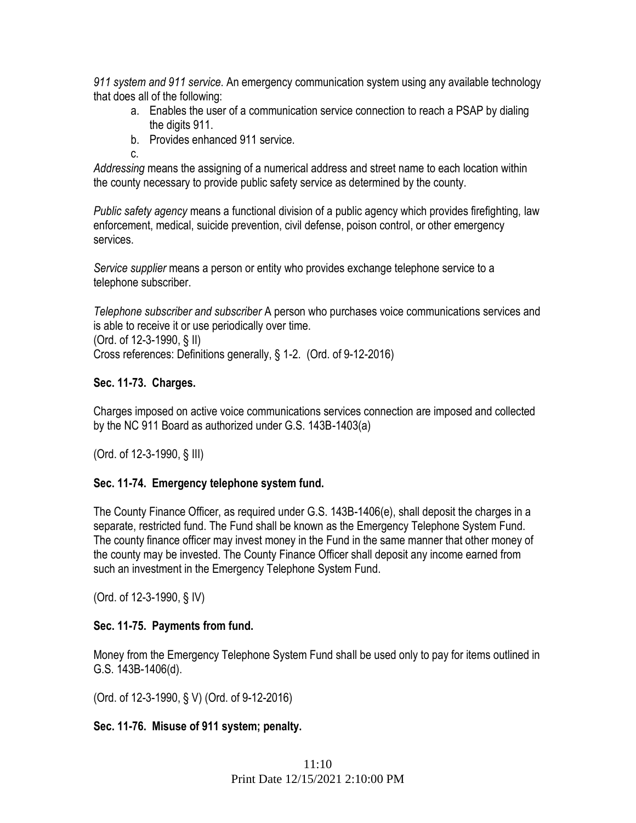*911 system and 911 service*. An emergency communication system using any available technology that does all of the following:

- a. Enables the user of a communication service connection to reach a PSAP by dialing the digits 911.
- b. Provides enhanced 911 service.
- c.

*Addressing* means the assigning of a numerical address and street name to each location within the county necessary to provide public safety service as determined by the county.

*Public safety agency* means a functional division of a public agency which provides firefighting, law enforcement, medical, suicide prevention, civil defense, poison control, or other emergency services.

*Service supplier* means a person or entity who provides exchange telephone service to a telephone subscriber.

*Telephone subscriber and subscriber* A person who purchases voice communications services and is able to receive it or use periodically over time.

(Ord. of 12-3-1990, § II)

Cross references: Definitions generally, § 1-2. (Ord. of 9-12-2016)

# **Sec. 11-73. Charges.**

Charges imposed on active voice communications services connection are imposed and collected by the NC 911 Board as authorized under G.S. 143B-1403(a)

(Ord. of 12-3-1990, § III)

# **Sec. 11-74. Emergency telephone system fund.**

The County Finance Officer, as required under G.S. 143B-1406(e), shall deposit the charges in a separate, restricted fund. The Fund shall be known as the Emergency Telephone System Fund. The county finance officer may invest money in the Fund in the same manner that other money of the county may be invested. The County Finance Officer shall deposit any income earned from such an investment in the Emergency Telephone System Fund.

(Ord. of 12-3-1990, § IV)

# **Sec. 11-75. Payments from fund.**

Money from the Emergency Telephone System Fund shall be used only to pay for items outlined in G.S. 143B-1406(d).

(Ord. of 12-3-1990, § V) (Ord. of 9-12-2016)

# **Sec. 11-76. Misuse of 911 system; penalty.**